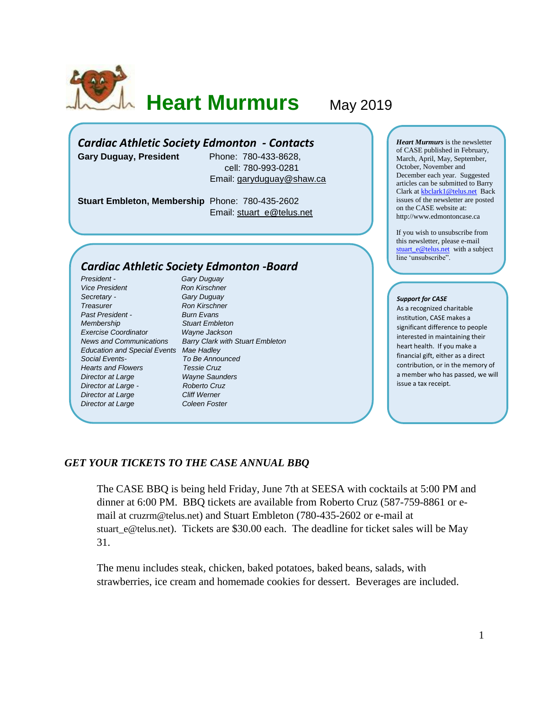

**Heart Murmurs** May 2019

# *Cardiac Athletic Society Edmonton - Contacts*

**Gary Duguay, President** Phone: 780-433-8628,

 cell: 780-993-0281 Email: [garyduguay@shaw.ca](mailto:garyduguay@shaw.ca)

**Stuart Embleton, Membership** Phone: 780-435-2602 Email: [stuart\\_e@telus.net](mailto:stuart_e@telus.net)

## *Cardiac Athletic Society Edmonton -Board*

*President - Gary Duguay* **Vice President Ron Kirschner** *Secretary - Gary Duguay* **Treasurer Ron Kirschner** *Past President - Burn Evans Membership Stuart Embleton Exercise Coordinator Wayne Jackson Education and Special Events Mae Hadley Social Events- To Be Announced Hearts and Flowers Tessie Cruz Director at Large Wayne Saunders Director at Large - Roberto Cruz* **Director at Large Cliff Werner Director at Large Coleen Foster** 

*News and Communications Barry Clark with Stuart Embleton*

*Heart Murmurs* is the newsletter of CASE published in February, March, April, May, September, October, November and December each year. Suggested articles can be submitted to Barry Clark a[t kbclark1@telus.net](mailto:kbclark1@telus.net) Back issues of the newsletter are posted on the CASE website at: [http://www.edmontoncase.ca](http://www.edmontoncase.ca/)

If you wish to unsubscribe from this newsletter, please e-mail [stuart\\_e@telus.net](mailto:stuart_e@telus.net) with a subject line 'unsubscribe".

#### *Support for CASE*

As a recognized charitable institution, CASE makes a significant difference to people interested in maintaining their heart health. If you make a financial gift, either as a direct contribution, or in the memory of a member who has passed, we will issue a tax receipt.

#### *GET YOUR TICKETS TO THE CASE ANNUAL BBQ*

The CASE BBQ is being held Friday, June 7th at SEESA with cocktails at 5:00 PM and dinner at 6:00 PM. BBQ tickets are available from Roberto Cruz (587-759-8861 or email at [cruzrm@telus.net](mailto:cruzrm@telus.net)) and Stuart Embleton (780-435-2602 or e-mail at [stuart\\_e@telus.net](mailto:stuart_e@telus.net)). Tickets are \$30.00 each. The deadline for ticket sales will be May 31.

The menu includes steak, chicken, baked potatoes, baked beans, salads, with strawberries, ice cream and homemade cookies for dessert. Beverages are included.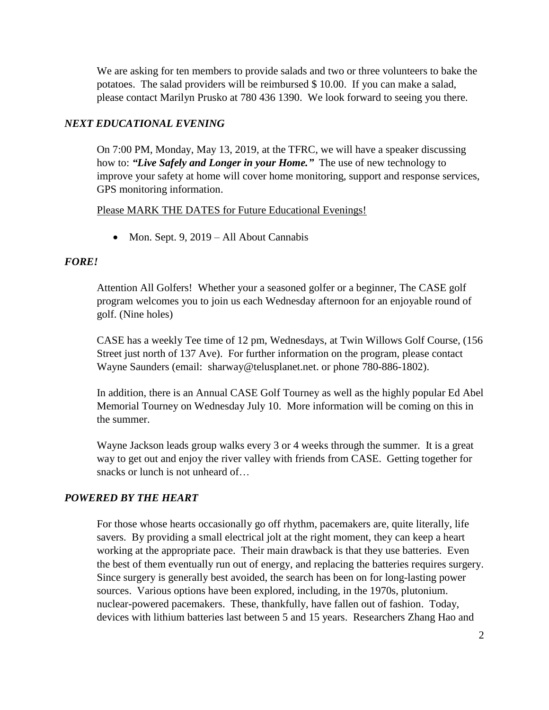We are asking for ten members to provide salads and two or three volunteers to bake the potatoes. The salad providers will be reimbursed \$ 10.00. If you can make a salad, please contact Marilyn Prusko at 780 436 1390. We look forward to seeing you there.

# *NEXT EDUCATIONAL EVENING*

On 7:00 PM, Monday, May 13, 2019, at the TFRC, we will have a speaker discussing how to: *"Live Safely and Longer in your Home."* The use of new technology to improve your safety at home will cover home monitoring, support and response services, GPS monitoring information.

#### Please MARK THE DATES for Future Educational Evenings!

• Mon. Sept. 9, 2019 – All About Cannabis

## *FORE!*

Attention All Golfers! Whether your a seasoned golfer or a beginner, The CASE golf program welcomes you to join us each Wednesday afternoon for an enjoyable round of golf. (Nine holes)

CASE has a weekly Tee time of 12 pm, Wednesdays, at Twin Willows Golf Course, (156 Street just north of 137 Ave). For further information on the program, please contact Wayne Saunders (email: [sharway@telusplanet.net.](mailto:sharway@telusplanet.net) or phone 780-886-1802).

In addition, there is an Annual CASE Golf Tourney as well as the highly popular Ed Abel Memorial Tourney on Wednesday July 10. More information will be coming on this in the summer.

Wayne Jackson leads group walks every 3 or 4 weeks through the summer. It is a great way to get out and enjoy the river valley with friends from CASE. Getting together for snacks or lunch is not unheard of…

# *POWERED BY THE HEART*

For those whose hearts occasionally go off rhythm, pacemakers are, quite literally, life savers. By providing a small electrical jolt at the right moment, they can keep a heart working at the appropriate pace. Their main drawback is that they use batteries. Even the best of them eventually run out of energy, and replacing the batteries requires surgery. Since surgery is generally best avoided, the search has been on for long-lasting power sources. Various options have been explored, including, in the 1970s, plutonium. nuclear-powered pacemakers. These, thankfully, have fallen out of fashion. Today, devices with lithium batteries last between 5 and 15 years. Researchers Zhang Hao and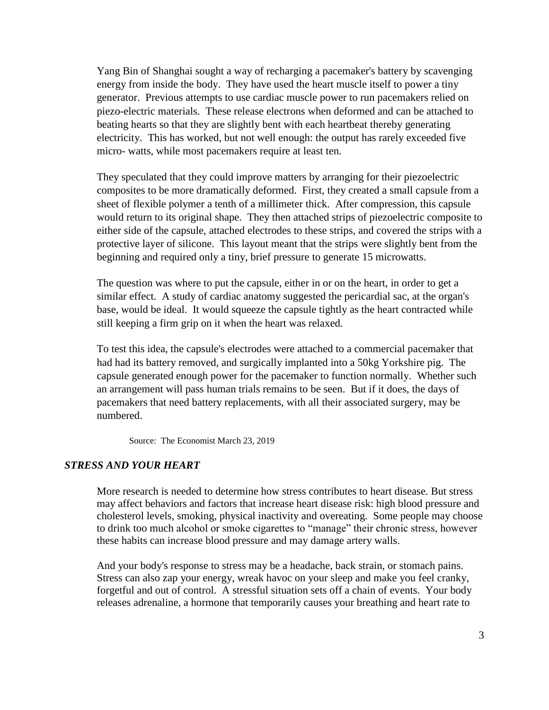Yang Bin of Shanghai sought a way of recharging a pacemaker's battery by scavenging energy from inside the body. They have used the heart muscle itself to power a tiny generator. Previous attempts to use cardiac muscle power to run pacemakers relied on piezo-electric materials. These release electrons when deformed and can be attached to beating hearts so that they are slightly bent with each heartbeat thereby generating electricity. This has worked, but not well enough: the output has rarely exceeded five micro- watts, while most pacemakers require at least ten.

They speculated that they could improve matters by arranging for their piezoelectric composites to be more dramatically deformed. First, they created a small capsule from a sheet of flexible polymer a tenth of a millimeter thick. After compression, this capsule would return to its original shape. They then attached strips of piezoelectric composite to either side of the capsule, attached electrodes to these strips, and covered the strips with a protective layer of silicone. This layout meant that the strips were slightly bent from the beginning and required only a tiny, brief pressure to generate 15 microwatts.

The question was where to put the capsule, either in or on the heart, in order to get a similar effect. A study of cardiac anatomy suggested the pericardial sac, at the organ's base, would be ideal. It would squeeze the capsule tightly as the heart contracted while still keeping a firm grip on it when the heart was relaxed.

To test this idea, the capsule's electrodes were attached to a commercial pacemaker that had had its battery removed, and surgically implanted into a 50kg Yorkshire pig. The capsule generated enough power for the pacemaker to function normally. Whether such an arrangement will pass human trials remains to be seen. But if it does, the days of pacemakers that need battery replacements, with all their associated surgery, may be numbered.

Source: The Economist March 23, 2019

## *STRESS AND YOUR HEART*

More research is needed to determine how stress contributes to heart disease. But stress may affect behaviors and factors that increase heart disease risk: high blood pressure and [cholesterol levels,](https://www.heart.org/en/health-topics/cholesterol) [smoking,](https://www.heart.org/en/healthy-living/healthy-lifestyle/quit-smoking-tobacco) [physical inactivity](https://www.heart.org/en/healthy-living/fitness) and overeating. Some people may choose to drink too much alcohol or smoke cigarettes to "manage" their chronic stress, however these habits can increase blood pressure and may damage artery walls.

And your body's response to stress may be a headache, back strain, or stomach pains. Stress can also zap your energy, wreak havoc on your sleep and make you feel cranky, forgetful and out of control. A stressful situation sets off a chain of events. Your body releases adrenaline, a hormone that temporarily causes your breathing and heart rate to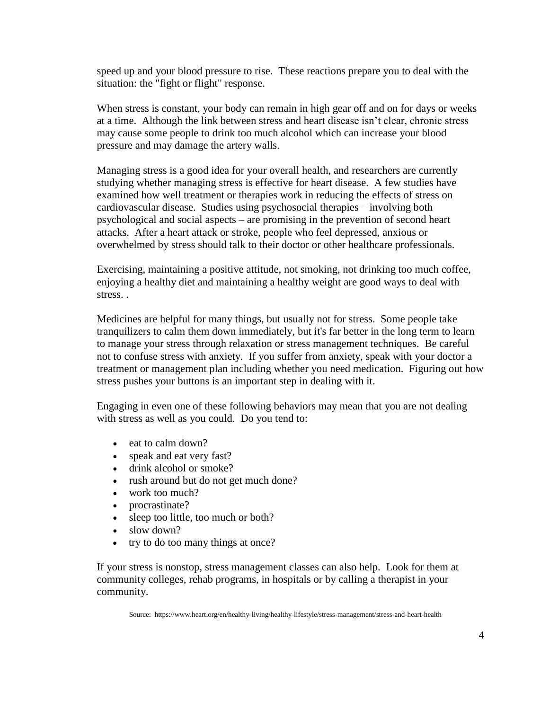speed up and your blood pressure to rise. These reactions prepare you to deal with the situation: the "fight or flight" response.

When stress is constant, your body can remain in high gear off and on for days or weeks at a time. Although the link between stress and heart disease isn't clear, chronic stress may cause some people to drink too much alcohol which can increase your blood pressure and may damage the artery walls.

[Managing stress](https://www.heart.org/en/healthy-living/healthy-lifestyle/stress-management/3-tips-to-manage-stress) is a good idea for your overall health, and researchers are currently studying whether managing stress is effective for heart disease. A few studies have examined how well treatment or therapies work in reducing the effects of stress on cardiovascular disease. Studies using psychosocial therapies – involving both psychological and social aspects – are promising in the prevention of second heart attacks. After a heart attack or stroke, people who feel depressed, anxious or overwhelmed by stress should talk to their doctor or other healthcare professionals.

Exercising, maintaining a positive attitude, not smoking, not drinking too much coffee, enjoying a [healthy diet](https://www.heart.org/en/healthy-living/healthy-eating) and [maintaining a healthy weight](https://www.heart.org/en/healthy-living/healthy-eating/losing-weight) are good ways to deal with stress. .

Medicines are helpful for many things, but usually not for stress. Some people take tranquilizers to calm them down immediately, but it's far better in the long term to learn to manage your stress through relaxation or stress management techniques. Be careful not to confuse stress with anxiety. If you suffer from anxiety, speak with your doctor a treatment or management plan including whether you need medication. Figuring out how stress pushes your buttons is an important step in dealing with it.

Engaging in even one of these following behaviors may mean that you are not dealing with stress as well as you could. Do you tend to:

- eat to calm down?
- speak and eat very fast?
- drink alcohol or smoke?
- rush around but do not get much done?
- work too much?
- procrastinate?
- sleep too little, too much or both?
- slow down?
- try to do too many things at once?

If your stress is nonstop, stress management classes can also help. Look for them at community colleges, rehab programs, in hospitals or by calling a therapist in your community.

Source: https://www.heart.org/en/healthy-living/healthy-lifestyle/stress-management/stress-and-heart-health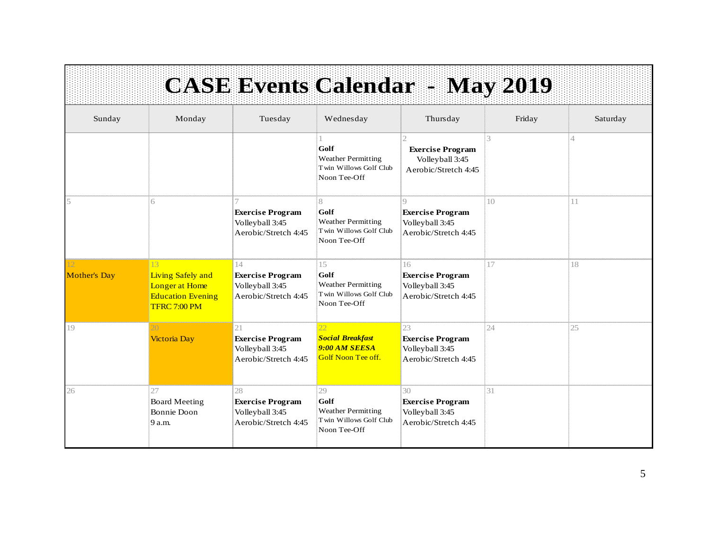|                           |                                                                                                    |                                                                          |                                                                                   | <b>CASE Events Calendar - May 2019</b>                                         |                 |                |
|---------------------------|----------------------------------------------------------------------------------------------------|--------------------------------------------------------------------------|-----------------------------------------------------------------------------------|--------------------------------------------------------------------------------|-----------------|----------------|
| Sunday                    | Monday                                                                                             | Tuesday                                                                  | Wednesday                                                                         | Thursday                                                                       | Friday          | Saturday       |
|                           |                                                                                                    |                                                                          | Golf<br><b>Weather Permitting</b><br>Twin Willows Golf Club<br>Noon Tee-Off       | <b>Exercise Program</b><br>Volleyball 3:45<br>Aerobic/Stretch 4:45             | 3               | $\overline{4}$ |
|                           | 6                                                                                                  | <b>Exercise Program</b><br>Volleyball 3:45<br>Aerobic/Stretch 4:45       | 8<br>Golf<br><b>Weather Permitting</b><br>Twin Willows Golf Club<br>Noon Tee-Off  | $\Omega$<br><b>Exercise Program</b><br>Volleyball 3:45<br>Aerobic/Stretch 4:45 | 10 <sup>2</sup> | 11             |
| 12<br><b>Mother's Day</b> | 13 <sup>1</sup><br>Living Safely and<br>Longer at Home<br><b>Education Evening</b><br>TFRC 7:00 PM | 14<br><b>Exercise Program</b><br>Volleyball 3:45<br>Aerobic/Stretch 4:45 | 15<br>Golf<br><b>Weather Permitting</b><br>Twin Willows Golf Club<br>Noon Tee-Off | 16<br><b>Exercise Program</b><br>Volleyball 3:45<br>Aerobic/Stretch 4:45       | 17              | 18             |
| 19                        | <b>Victoria Day</b>                                                                                | 21<br><b>Exercise Program</b><br>Volleyball 3:45<br>Aerobic/Stretch 4:45 | 22<br><b>Social Breakfast</b><br>9:00 AM SEESA<br><b>Golf Noon Tee off.</b>       | 23<br><b>Exercise Program</b><br>Volleyball 3:45<br>Aerobic/Stretch 4:45       | 24              | 25             |
| 26                        | 27<br><b>Board Meeting</b><br><b>Bonnie Doon</b><br>9 a.m.                                         | 28<br><b>Exercise Program</b><br>Volleyball 3:45<br>Aerobic/Stretch 4:45 | 29<br>Golf<br><b>Weather Permitting</b><br>Twin Willows Golf Club<br>Noon Tee-Off | 30<br><b>Exercise Program</b><br>Volleyball 3:45<br>Aerobic/Stretch 4:45       | 31              |                |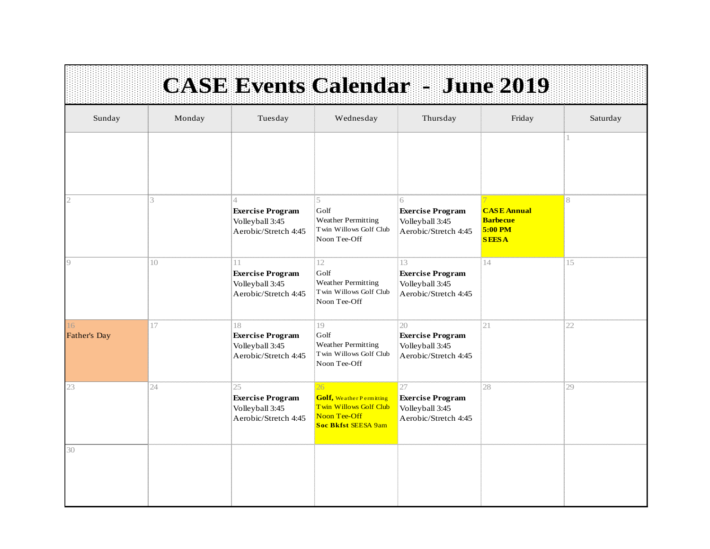|                           |        |                                                                          | <b>CASE Events Calendar - June 2019</b>                                                                |                                                                          |                                                                  |          |
|---------------------------|--------|--------------------------------------------------------------------------|--------------------------------------------------------------------------------------------------------|--------------------------------------------------------------------------|------------------------------------------------------------------|----------|
| Sunday                    | Monday | Tuesday                                                                  | Wednesday                                                                                              | Thursday                                                                 | Friday                                                           | Saturday |
|                           |        |                                                                          |                                                                                                        |                                                                          |                                                                  | 1        |
| $\overline{2}$            | 3      | <b>Exercise Program</b><br>Volleyball 3:45<br>Aerobic/Stretch 4:45       | 5<br>Golf<br><b>Weather Permitting</b><br>Twin Willows Golf Club<br>Noon Tee-Off                       | 6<br><b>Exercise Program</b><br>Volleyball 3:45<br>Aerobic/Stretch 4:45  | <b>CASE Annual</b><br><b>Barbecue</b><br>5:00 PM<br><b>SEESA</b> | 8        |
| $\circ$                   | 10     | 11<br><b>Exercise Program</b><br>Volleyball 3:45<br>Aerobic/Stretch 4:45 | 12<br>Golf<br><b>Weather Permitting</b><br>Twin Willows Golf Club<br>Noon Tee-Off                      | 13<br><b>Exercise Program</b><br>Volleyball 3:45<br>Aerobic/Stretch 4:45 | 14                                                               | 15       |
| 16<br><b>Father's Day</b> | 17     | 18<br><b>Exercise Program</b><br>Volleyball 3:45<br>Aerobic/Stretch 4:45 | 19<br>Golf<br><b>Weather Permitting</b><br>Twin Willows Golf Club<br>Noon Tee-Off                      | 20<br><b>Exercise Program</b><br>Volleyball 3:45<br>Aerobic/Stretch 4:45 | 21                                                               | 22       |
| 23                        | 24     | 25<br><b>Exercise Program</b><br>Volleyball 3:45<br>Aerobic/Stretch 4:45 | 26<br><b>Golf, Weather Permitting</b><br>Twin Willows Golf Club<br>Noon Tee-Off<br>Soc Bkfst SEESA 9am | 27<br><b>Exercise Program</b><br>Volleyball 3:45<br>Aerobic/Stretch 4:45 | 28                                                               | 29       |
| 30                        |        |                                                                          |                                                                                                        |                                                                          |                                                                  |          |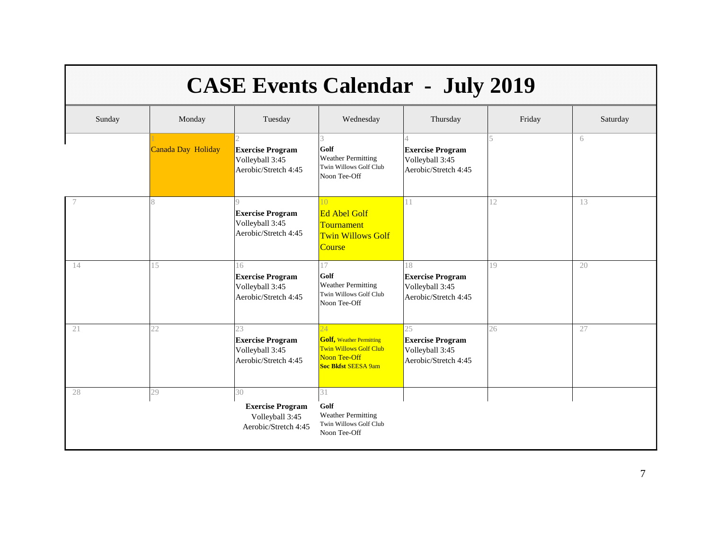| <b>CASE Events Calendar - July 2019</b> |                    |                                                                          |                                                                                                                             |                                                                          |        |          |  |
|-----------------------------------------|--------------------|--------------------------------------------------------------------------|-----------------------------------------------------------------------------------------------------------------------------|--------------------------------------------------------------------------|--------|----------|--|
| Sunday                                  | Monday             | Tuesday                                                                  | Wednesday                                                                                                                   | Thursday                                                                 | Friday | Saturday |  |
|                                         | Canada Day Holiday | <b>Exercise Program</b><br>Volleyball 3:45<br>Aerobic/Stretch 4:45       | 3<br>Golf<br><b>Weather Permitting</b><br>Twin Willows Golf Club<br>Noon Tee-Off                                            | <b>Exercise Program</b><br>Volleyball 3:45<br>Aerobic/Stretch 4:45       | 5      | 6        |  |
|                                         | $\mathsf{R}$       | <b>Exercise Program</b><br>Volleyball 3:45<br>Aerobic/Stretch 4:45       | 10<br><b>Ed Abel Golf</b><br>Tournament<br><b>Twin Willows Golf</b><br>Course                                               | 11                                                                       | 12     | 13       |  |
| 14                                      | 15                 | 16<br><b>Exercise Program</b><br>Volleyball 3:45<br>Aerobic/Stretch 4:45 | 17<br>Golf<br><b>Weather Permitting</b><br>Twin Willows Golf Club<br>Noon Tee-Off                                           | 18<br><b>Exercise Program</b><br>Volleyball 3:45<br>Aerobic/Stretch 4:45 | 19     | 20       |  |
| 21                                      | 22                 | 23<br><b>Exercise Program</b><br>Volleyball 3:45<br>Aerobic/Stretch 4:45 | 24<br><b>Golf, Weather Permitting</b><br><b>Twin Willows Golf Club</b><br><b>Noon Tee-Off</b><br><b>Soc Bkfst SEESA 9am</b> | 25<br><b>Exercise Program</b><br>Volleyball 3:45<br>Aerobic/Stretch 4:45 | 26     | 27       |  |
| 28                                      | 29                 | 30<br><b>Exercise Program</b><br>Volleyball 3:45<br>Aerobic/Stretch 4:45 | 31<br>Golf<br><b>Weather Permitting</b><br>Twin Willows Golf Club<br>Noon Tee-Off                                           |                                                                          |        |          |  |